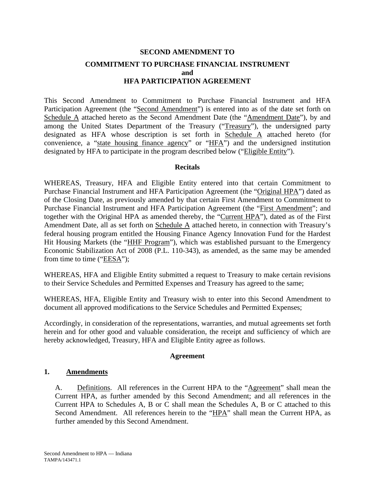# **SECOND AMENDMENT TO COMMITMENT TO PURCHASE FINANCIAL INSTRUMENT and HFA PARTICIPATION AGREEMENT**

This Second Amendment to Commitment to Purchase Financial Instrument and HFA Participation Agreement (the "Second Amendment") is entered into as of the date set forth on Schedule A attached hereto as the Second Amendment Date (the "Amendment Date"), by and among the United States Department of the Treasury ("Treasury"), the undersigned party designated as HFA whose description is set forth in Schedule A attached hereto (for convenience, a "state housing finance agency" or "HFA") and the undersigned institution designated by HFA to participate in the program described below ("Eligible Entity").

## **Recitals**

WHEREAS, Treasury, HFA and Eligible Entity entered into that certain Commitment to Purchase Financial Instrument and HFA Participation Agreement (the "Original HPA") dated as of the Closing Date, as previously amended by that certain First Amendment to Commitment to Purchase Financial Instrument and HFA Participation Agreement (the "First Amendment"; and together with the Original HPA as amended thereby, the "Current HPA"), dated as of the First Amendment Date, all as set forth on Schedule A attached hereto, in connection with Treasury's federal housing program entitled the Housing Finance Agency Innovation Fund for the Hardest Hit Housing Markets (the "HHF Program"), which was established pursuant to the Emergency Economic Stabilization Act of 2008 (P.L. 110-343), as amended, as the same may be amended from time to time ("EESA");

WHEREAS, HFA and Eligible Entity submitted a request to Treasury to make certain revisions to their Service Schedules and Permitted Expenses and Treasury has agreed to the same;

WHEREAS, HFA, Eligible Entity and Treasury wish to enter into this Second Amendment to document all approved modifications to the Service Schedules and Permitted Expenses;

Accordingly, in consideration of the representations, warranties, and mutual agreements set forth herein and for other good and valuable consideration, the receipt and sufficiency of which are hereby acknowledged, Treasury, HFA and Eligible Entity agree as follows.

## **Agreement**

## **1. Amendments**

A. Definitions. All references in the Current HPA to the "Agreement" shall mean the Current HPA, as further amended by this Second Amendment; and all references in the Current HPA to Schedules A, B or C shall mean the Schedules A, B or C attached to this Second Amendment. All references herein to the "HPA" shall mean the Current HPA, as further amended by this Second Amendment.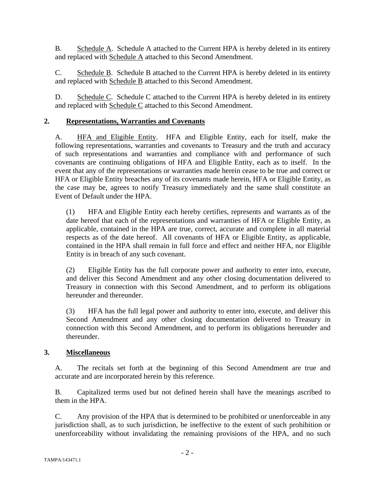B. Schedule A. Schedule A attached to the Current HPA is hereby deleted in its entirety and replaced with Schedule A attached to this Second Amendment.

C. Schedule B. Schedule B attached to the Current HPA is hereby deleted in its entirety and replaced with Schedule B attached to this Second Amendment.

D. Schedule C. Schedule C attached to the Current HPA is hereby deleted in its entirety and replaced with Schedule C attached to this Second Amendment.

# **2. Representations, Warranties and Covenants**

A. HFA and Eligible Entity. HFA and Eligible Entity, each for itself, make the following representations, warranties and covenants to Treasury and the truth and accuracy of such representations and warranties and compliance with and performance of such covenants are continuing obligations of HFA and Eligible Entity, each as to itself. In the event that any of the representations or warranties made herein cease to be true and correct or HFA or Eligible Entity breaches any of its covenants made herein, HFA or Eligible Entity, as the case may be, agrees to notify Treasury immediately and the same shall constitute an Event of Default under the HPA.

(1) HFA and Eligible Entity each hereby certifies, represents and warrants as of the date hereof that each of the representations and warranties of HFA or Eligible Entity, as applicable, contained in the HPA are true, correct, accurate and complete in all material respects as of the date hereof. All covenants of HFA or Eligible Entity, as applicable, contained in the HPA shall remain in full force and effect and neither HFA, nor Eligible Entity is in breach of any such covenant.

(2) Eligible Entity has the full corporate power and authority to enter into, execute, and deliver this Second Amendment and any other closing documentation delivered to Treasury in connection with this Second Amendment, and to perform its obligations hereunder and thereunder.

(3) HFA has the full legal power and authority to enter into, execute, and deliver this Second Amendment and any other closing documentation delivered to Treasury in connection with this Second Amendment, and to perform its obligations hereunder and thereunder.

# **3. Miscellaneous**

A. The recitals set forth at the beginning of this Second Amendment are true and accurate and are incorporated herein by this reference.

B. Capitalized terms used but not defined herein shall have the meanings ascribed to them in the HPA.

C. Any provision of the HPA that is determined to be prohibited or unenforceable in any jurisdiction shall, as to such jurisdiction, be ineffective to the extent of such prohibition or unenforceability without invalidating the remaining provisions of the HPA, and no such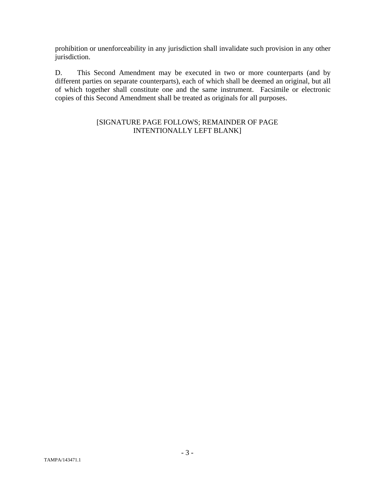prohibition or unenforceability in any jurisdiction shall invalidate such provision in any other jurisdiction.

D. This Second Amendment may be executed in two or more counterparts (and by different parties on separate counterparts), each of which shall be deemed an original, but all of which together shall constitute one and the same instrument. Facsimile or electronic copies of this Second Amendment shall be treated as originals for all purposes.

# [SIGNATURE PAGE FOLLOWS; REMAINDER OF PAGE INTENTIONALLY LEFT BLANK]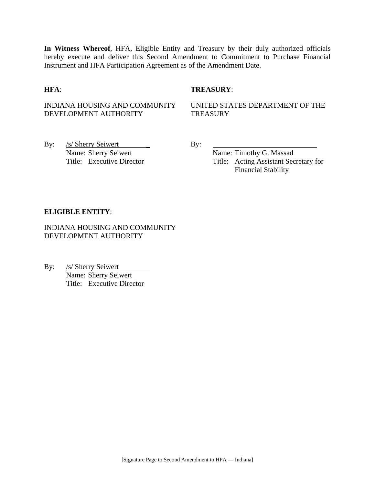**In Witness Whereof**, HFA, Eligible Entity and Treasury by their duly authorized officials hereby execute and deliver this Second Amendment to Commitment to Purchase Financial Instrument and HFA Participation Agreement as of the Amendment Date.

## **HFA**: **TREASURY**:

# INDIANA HOUSING AND COMMUNITY DEVELOPMENT AUTHORITY

UNITED STATES DEPARTMENT OF THE **TREASURY** 

By: <u>/s/ Sherry Seiwert</u> By: Name: Sherry Seiwert By:

Name: Timothy G. Massad Title: Executive Director Title: Acting Assistant Secretary for Financial Stability

## **ELIGIBLE ENTITY**:

INDIANA HOUSING AND COMMUNITY DEVELOPMENT AUTHORITY

By: /s/ Sherry Seiwert Name: Sherry Seiwert Title: Executive Director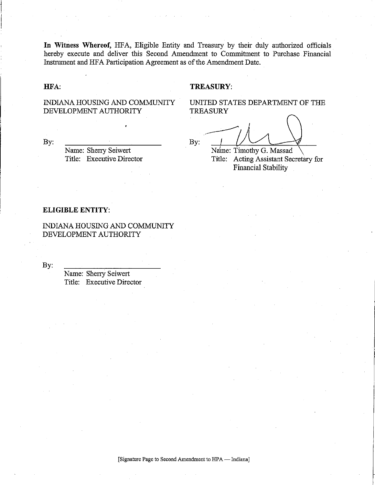In Witness Whereof, HFA, Eligible Entity and Treasury by their duly authorized officials hereby execute and deliver this Second Amendment to Commitment to Purchase Financial Instrument and HFA Participation Agreement as of the Amendment Date.

#### HFA:

#### **TREASURY:**

INDIANA HOUSING AND COMMUNITY DEVELOPMENT AUTHORITY

UNITED STATES DEPARTMENT OF THE **TREASURY** 

By:

Name: Sherry Seiwert Title: Executive Director

By:

Name: Timothy G. Massad Title: Acting Assistant Secretary for **Financial Stability** 

#### **ELIGIBLE ENTITY:**

INDIANA HOUSING AND COMMUNITY DEVELOPMENT AUTHORITY

By:

Name: Sherry Seiwert Title: Executive Director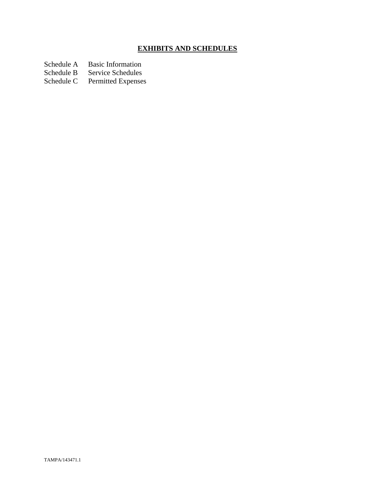# **EXHIBITS AND SCHEDULES**

Schedule A Basic Information<br>Schedule B Service Schedules

Schedule B Service Schedules<br>Schedule C Permitted Expenses

Permitted Expenses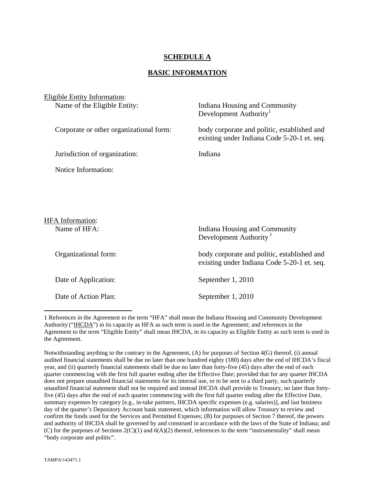# **SCHEDULE A**

### **BASIC INFORMATION**

| Eligible Entity Information:            |                                                                                            |
|-----------------------------------------|--------------------------------------------------------------------------------------------|
| Name of the Eligible Entity:            | Indiana Housing and Community<br>Development Authority <sup>1</sup>                        |
| Corporate or other organizational form: | body corporate and politic, established and<br>existing under Indiana Code 5-20-1 et. seq. |
| Jurisdiction of organization:           | Indiana                                                                                    |
| Notice Information:                     |                                                                                            |
|                                         |                                                                                            |
|                                         |                                                                                            |
| <b>HFA</b> Information:                 |                                                                                            |
| Name of HFA:                            | Indiana Housing and Community<br>Development Authority <sup>1</sup>                        |
| Organizational form:                    | body corporate and politic, established and<br>existing under Indiana Code 5-20-1 et. seq. |
| Date of Application:                    | September 1, 2010                                                                          |

Date of Action Plan: September 1, 2010

 $\overline{a}$ 

Notwithstanding anything to the contrary in the Agreement, (A) for purposes of Section 4(G) thereof, (i) annual audited financial statements shall be due no later than one hundred eighty (180) days after the end of IHCDA's fiscal year, and (ii) quarterly financial statements shall be due no later than forty-five (45) days after the end of each quarter commencing with the first full quarter ending after the Effective Date; provided that for any quarter IHCDA does not prepare unaudited financial statements for its internal use, or to be sent to a third party, such quarterly unaudited financial statement shall not be required and instead IHCDA shall provide to Treasury, no later than fortyfive (45) days after the end of each quarter commencing with the first full quarter ending after the Effective Date, summary expenses by category [e.g., in-take partners, IHCDA specific expenses (e.g. salaries)], and last business day of the quarter's Depository Account bank statement, which information will allow Treasury to review and confirm the funds used for the Services and Permitted Expenses; (B) for purposes of Section 7 thereof, the powers and authority of IHCDA shall be governed by and construed in accordance with the laws of the State of Indiana; and (C) for the purposes of Sections 2(C)(1) and 6(A)(2) thereof, references to the term "instrumentality" shall mean "body corporate and politic".

<sup>1</sup> References in the Agreement to the term "HFA" shall mean the Indiana Housing and Community Development Authority ("IHCDA") in its capacity as HFA as such term is used in the Agreement; and references in the Agreement to the term "Eligible Entity" shall mean IHCDA, in its capacity as Eligible Entity as such term is used in the Agreement.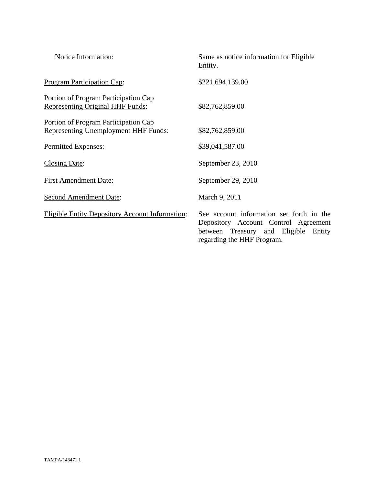| Notice Information:                                                                 | Same as notice information for Eligible<br>Entity.                                                                                                        |
|-------------------------------------------------------------------------------------|-----------------------------------------------------------------------------------------------------------------------------------------------------------|
| <b>Program Participation Cap:</b>                                                   | \$221,694,139.00                                                                                                                                          |
| Portion of Program Participation Cap<br><b>Representing Original HHF Funds:</b>     | \$82,762,859.00                                                                                                                                           |
| Portion of Program Participation Cap<br><b>Representing Unemployment HHF Funds:</b> | \$82,762,859.00                                                                                                                                           |
| Permitted Expenses:                                                                 | \$39,041,587.00                                                                                                                                           |
| <b>Closing Date:</b>                                                                | September 23, 2010                                                                                                                                        |
| <b>First Amendment Date:</b>                                                        | September 29, 2010                                                                                                                                        |
| <b>Second Amendment Date:</b>                                                       | March 9, 2011                                                                                                                                             |
| <b>Eligible Entity Depository Account Information:</b>                              | See account information set forth in the<br>Depository Account Control Agreement<br>between Treasury and Eligible<br>Entity<br>regarding the HHF Program. |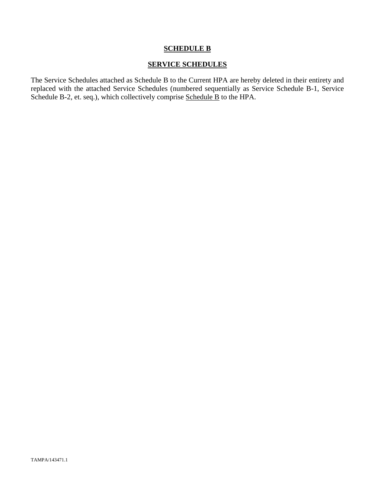# **SCHEDULE B**

# **SERVICE SCHEDULES**

The Service Schedules attached as Schedule B to the Current HPA are hereby deleted in their entirety and replaced with the attached Service Schedules (numbered sequentially as Service Schedule B-1, Service Schedule B-2, et. seq.), which collectively comprise Schedule B to the HPA.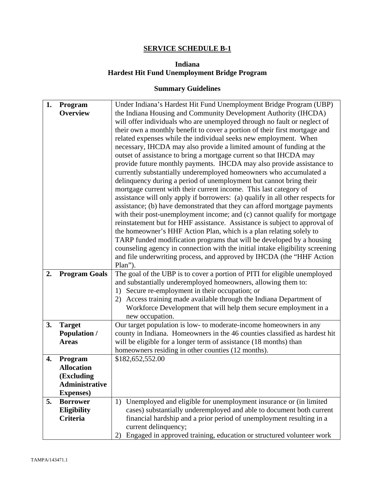# **SERVICE SCHEDULE B-1**

# **Indiana Hardest Hit Fund Unemployment Bridge Program**

# **Summary Guidelines**

| 1. | Program               | Under Indiana's Hardest Hit Fund Unemployment Bridge Program (UBP)             |  |
|----|-----------------------|--------------------------------------------------------------------------------|--|
|    | <b>Overview</b>       | the Indiana Housing and Community Development Authority (IHCDA)                |  |
|    |                       | will offer individuals who are unemployed through no fault or neglect of       |  |
|    |                       | their own a monthly benefit to cover a portion of their first mortgage and     |  |
|    |                       | related expenses while the individual seeks new employment. When               |  |
|    |                       | necessary, IHCDA may also provide a limited amount of funding at the           |  |
|    |                       | outset of assistance to bring a mortgage current so that IHCDA may             |  |
|    |                       | provide future monthly payments. IHCDA may also provide assistance to          |  |
|    |                       | currently substantially underemployed homeowners who accumulated a             |  |
|    |                       | delinquency during a period of unemployment but cannot bring their             |  |
|    |                       | mortgage current with their current income. This last category of              |  |
|    |                       | assistance will only apply if borrowers: (a) qualify in all other respects for |  |
|    |                       | assistance; (b) have demonstrated that they can afford mortgage payments       |  |
|    |                       | with their post-unemployment income; and (c) cannot qualify for mortgage       |  |
|    |                       | reinstatement but for HHF assistance. Assistance is subject to approval of     |  |
|    |                       | the homeowner's HHF Action Plan, which is a plan relating solely to            |  |
|    |                       | TARP funded modification programs that will be developed by a housing          |  |
|    |                       | counseling agency in connection with the initial intake eligibility screening  |  |
|    |                       | and file underwriting process, and approved by IHCDA (the "HHF Action          |  |
|    |                       | Plan").                                                                        |  |
| 2. | <b>Program Goals</b>  | The goal of the UBP is to cover a portion of PITI for eligible unemployed      |  |
|    |                       | and substantially underemployed homeowners, allowing them to:                  |  |
|    |                       | 1) Secure re-employment in their occupation; or                                |  |
|    |                       | Access training made available through the Indiana Department of<br>2)         |  |
|    |                       | Workforce Development that will help them secure employment in a               |  |
|    |                       | new occupation.                                                                |  |
| 3. | <b>Target</b>         | Our target population is low- to moderate-income homeowners in any             |  |
|    | <b>Population /</b>   | county in Indiana. Homeowners in the 46 counties classified as hardest hit     |  |
|    | <b>Areas</b>          | will be eligible for a longer term of assistance (18 months) than              |  |
|    |                       | homeowners residing in other counties (12 months).                             |  |
| 4. | Program               | \$182,652,552.00                                                               |  |
|    | <b>Allocation</b>     |                                                                                |  |
|    | (Excluding            |                                                                                |  |
|    | <b>Administrative</b> |                                                                                |  |
|    | <b>Expenses</b> )     |                                                                                |  |
| 5. | <b>Borrower</b>       | Unemployed and eligible for unemployment insurance or (in limited<br>1)        |  |
|    | Eligibility           | cases) substantially underemployed and able to document both current           |  |
|    | <b>Criteria</b>       | financial hardship and a prior period of unemployment resulting in a           |  |
|    |                       | current delinquency;                                                           |  |
|    |                       | Engaged in approved training, education or structured volunteer work<br>2)     |  |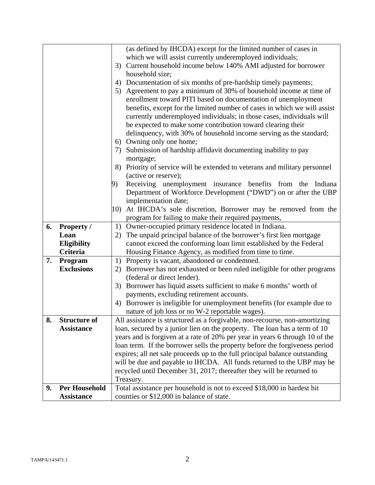|    |                      | (as defined by IHCDA) except for the limited number of cases in               |  |
|----|----------------------|-------------------------------------------------------------------------------|--|
|    |                      | which we will assist currently underemployed individuals;                     |  |
|    |                      | Current household income below 140% AMI adjusted for borrower<br>3)           |  |
|    |                      | household size;                                                               |  |
|    |                      | Documentation of six months of pre-hardship timely payments;<br>4)            |  |
|    |                      | 5) Agreement to pay a minimum of 30% of household income at time of           |  |
|    |                      | enrollment toward PITI based on documentation of unemployment                 |  |
|    |                      | benefits, except for the limited number of cases in which we will assist      |  |
|    |                      | currently underemployed individuals; in those cases, individuals will         |  |
|    |                      | be expected to make some contribution toward clearing their                   |  |
|    |                      | delinquency, with 30% of household income serving as the standard;            |  |
|    |                      | 6) Owning only one home;                                                      |  |
|    |                      | Submission of hardship affidavit documenting inability to pay<br>7)           |  |
|    |                      | mortgage;                                                                     |  |
|    |                      | Priority of service will be extended to veterans and military personnel<br>8) |  |
|    |                      | (active or reserve);                                                          |  |
|    |                      | Receiving unemployment insurance benefits from the<br>Indiana<br>9)           |  |
|    |                      | Department of Workforce Development ("DWD") on or after the UBP               |  |
|    |                      | implementation date;                                                          |  |
|    |                      | At IHCDA's sole discretion, Borrower may be removed from the<br>10)           |  |
|    |                      | program for failing to make their required payments,                          |  |
| 6. | <b>Property /</b>    | 1) Owner-occupied primary residence located in Indiana.                       |  |
|    | Loan                 | The unpaid principal balance of the borrower's first lien mortgage<br>2)      |  |
|    | Eligibility          | cannot exceed the conforming loan limit established by the Federal            |  |
|    | Criteria             | Housing Finance Agency, as modified from time to time.                        |  |
| 7. | Program              | Property is vacant, abandoned or condemned.<br>1)                             |  |
|    | <b>Exclusions</b>    | Borrower has not exhausted or been ruled ineligible for other programs<br>2)  |  |
|    |                      | (federal or direct lender).                                                   |  |
|    |                      | 3) Borrower has liquid assets sufficient to make 6 months' worth of           |  |
|    |                      | payments, excluding retirement accounts.                                      |  |
|    |                      | 4) Borrower is ineligible for unemployment benefits (for example due to       |  |
|    |                      | nature of job loss or no W-2 reportable wages).                               |  |
| 8. | <b>Structure of</b>  | All assistance is structured as a forgivable, non-recourse, non-amortizing    |  |
|    | <b>Assistance</b>    | loan, secured by a junior lien on the property. The loan has a term of 10     |  |
|    |                      | years and is forgiven at a rate of 20% per year in years 6 through 10 of the  |  |
|    |                      | loan term. If the borrower sells the property before the forgiveness period   |  |
|    |                      | expires; all net sale proceeds up to the full principal balance outstanding   |  |
|    |                      | will be due and payable to IHCDA. All funds returned to the UBP may be        |  |
|    |                      | recycled until December 31, 2017; thereafter they will be returned to         |  |
|    |                      | Treasury.                                                                     |  |
| 9. | <b>Per Household</b> | Total assistance per household is not to exceed \$18,000 in hardest hit       |  |
|    | <b>Assistance</b>    | counties or \$12,000 in balance of state.                                     |  |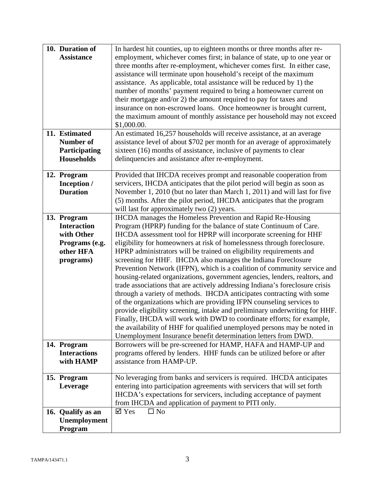|             | 10. Duration of     | In hardest hit counties, up to eighteen months or three months after re-     |
|-------------|---------------------|------------------------------------------------------------------------------|
|             | <b>Assistance</b>   | employment, whichever comes first; in balance of state, up to one year or    |
|             |                     | three months after re-employment, whichever comes first. In either case,     |
|             |                     | assistance will terminate upon household's receipt of the maximum            |
|             |                     | assistance. As applicable, total assistance will be reduced by 1) the        |
|             |                     | number of months' payment required to bring a homeowner current on           |
|             |                     | their mortgage and/or 2) the amount required to pay for taxes and            |
|             |                     | insurance on non-escrowed loans. Once homeowner is brought current,          |
|             |                     | the maximum amount of monthly assistance per household may not exceed        |
|             |                     | \$1,000.00.                                                                  |
|             | 11. Estimated       | An estimated 16,257 households will receive assistance, at an average        |
|             | <b>Number of</b>    | assistance level of about \$702 per month for an average of approximately    |
|             | Participating       | sixteen (16) months of assistance, inclusive of payments to clear            |
|             | <b>Households</b>   | delinquencies and assistance after re-employment.                            |
|             |                     |                                                                              |
| 12. Program |                     | Provided that IHCDA receives prompt and reasonable cooperation from          |
|             | Inception /         | servicers, IHCDA anticipates that the pilot period will begin as soon as     |
|             | <b>Duration</b>     | November 1, 2010 (but no later than March 1, 2011) and will last for five    |
|             |                     | (5) months. After the pilot period, IHCDA anticipates that the program       |
|             |                     | will last for approximately two (2) years.                                   |
| 13. Program |                     | <b>IHCDA</b> manages the Homeless Prevention and Rapid Re-Housing            |
|             | <b>Interaction</b>  | Program (HPRP) funding for the balance of state Continuum of Care.           |
|             | with Other          | IHCDA assessment tool for HPRP will incorporate screening for HHF            |
|             | Programs (e.g.      | eligibility for homeowners at risk of homelessness through foreclosure.      |
|             | other HFA           | HPRP administrators will be trained on eligibility requirements and          |
|             | programs)           | screening for HHF. IHCDA also manages the Indiana Foreclosure                |
|             |                     | Prevention Network (IFPN), which is a coalition of community service and     |
|             |                     | housing-related organizations, government agencies, lenders, realtors, and   |
|             |                     | trade associations that are actively addressing Indiana's foreclosure crisis |
|             |                     | through a variety of methods. IHCDA anticipates contracting with some        |
|             |                     | of the organizations which are providing IFPN counseling services to         |
|             |                     | provide eligibility screening, intake and preliminary underwriting for HHF.  |
|             |                     | Finally, IHCDA will work with DWD to coordinate efforts; for example,        |
|             |                     | the availability of HHF for qualified unemployed persons may be noted in     |
|             |                     | Unemployment Insurance benefit determination letters from DWD.               |
| 14. Program |                     | Borrowers will be pre-screened for HAMP, HAFA and HAMP-UP and                |
|             | <b>Interactions</b> | programs offered by lenders. HHF funds can be utilized before or after       |
|             | with HAMP           | assistance from HAMP-UP.                                                     |
|             |                     |                                                                              |
| 15. Program |                     | No leveraging from banks and servicers is required. IHCDA anticipates        |
|             | Leverage            | entering into participation agreements with servicers that will set forth    |
|             |                     | IHCDA's expectations for servicers, including acceptance of payment          |
|             |                     | from IHCDA and application of payment to PITI only.                          |
|             | 16. Qualify as an   | $\boxtimes$ Yes<br>$\Box$ No                                                 |
|             | Unemployment        |                                                                              |
|             | Program             |                                                                              |